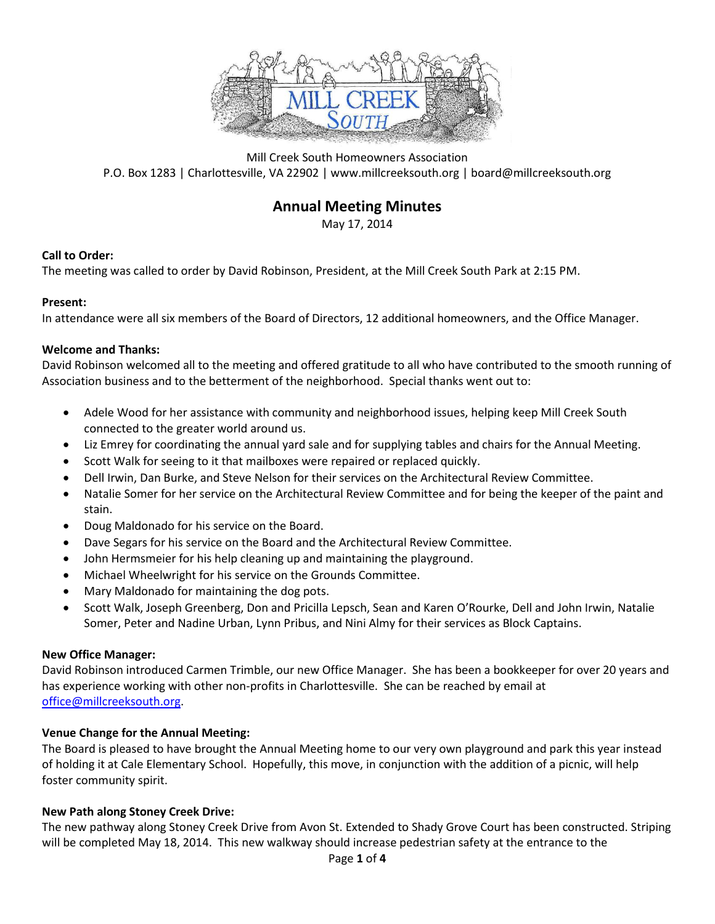

Mill Creek South Homeowners Association P.O. Box 1283 | Charlottesville, VA 22902 | www.millcreeksouth.org | board@millcreeksouth.org

# **Annual Meeting Minutes**

May 17, 2014

## **Call to Order:**

The meeting was called to order by David Robinson, President, at the Mill Creek South Park at 2:15 PM.

## **Present:**

In attendance were all six members of the Board of Directors, 12 additional homeowners, and the Office Manager.

## **Welcome and Thanks:**

David Robinson welcomed all to the meeting and offered gratitude to all who have contributed to the smooth running of Association business and to the betterment of the neighborhood. Special thanks went out to:

- Adele Wood for her assistance with community and neighborhood issues, helping keep Mill Creek South connected to the greater world around us.
- Liz Emrey for coordinating the annual yard sale and for supplying tables and chairs for the Annual Meeting.
- Scott Walk for seeing to it that mailboxes were repaired or replaced quickly.
- Dell Irwin, Dan Burke, and Steve Nelson for their services on the Architectural Review Committee.
- Natalie Somer for her service on the Architectural Review Committee and for being the keeper of the paint and stain.
- Doug Maldonado for his service on the Board.
- Dave Segars for his service on the Board and the Architectural Review Committee.
- John Hermsmeier for his help cleaning up and maintaining the playground.
- Michael Wheelwright for his service on the Grounds Committee.
- Mary Maldonado for maintaining the dog pots.
- Scott Walk, Joseph Greenberg, Don and Pricilla Lepsch, Sean and Karen O'Rourke, Dell and John Irwin, Natalie Somer, Peter and Nadine Urban, Lynn Pribus, and Nini Almy for their services as Block Captains.

## **New Office Manager:**

David Robinson introduced Carmen Trimble, our new Office Manager. She has been a bookkeeper for over 20 years and has experience working with other non-profits in Charlottesville. She can be reached by email at [office@millcreeksouth.org.](mailto:office@millcreeksouth.org)

## **Venue Change for the Annual Meeting:**

The Board is pleased to have brought the Annual Meeting home to our very own playground and park this year instead of holding it at Cale Elementary School. Hopefully, this move, in conjunction with the addition of a picnic, will help foster community spirit.

## **New Path along Stoney Creek Drive:**

The new pathway along Stoney Creek Drive from Avon St. Extended to Shady Grove Court has been constructed. Striping will be completed May 18, 2014. This new walkway should increase pedestrian safety at the entrance to the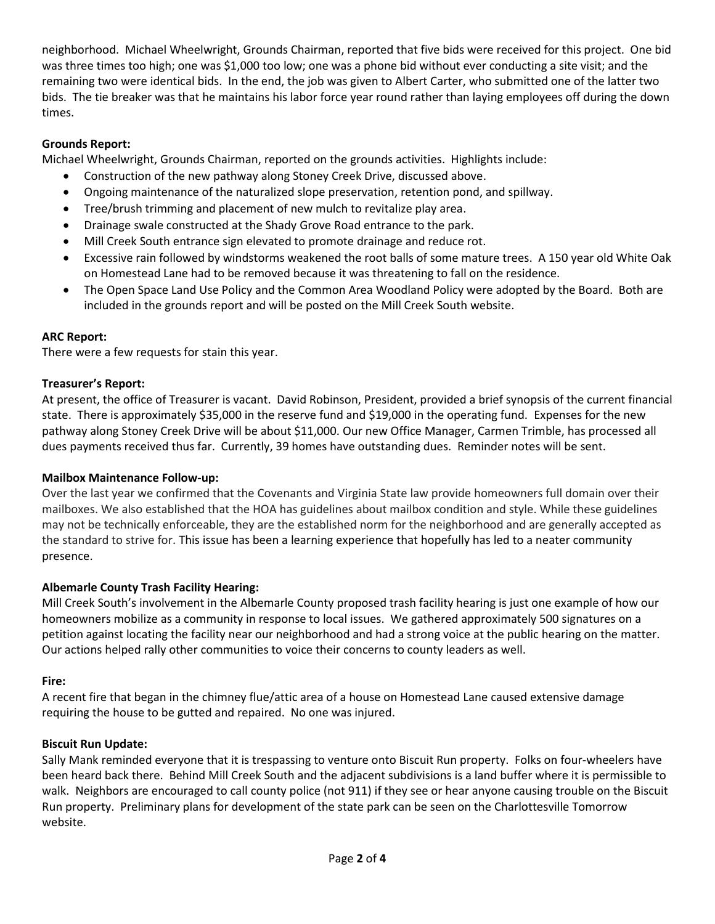neighborhood. Michael Wheelwright, Grounds Chairman, reported that five bids were received for this project. One bid was three times too high; one was \$1,000 too low; one was a phone bid without ever conducting a site visit; and the remaining two were identical bids. In the end, the job was given to Albert Carter, who submitted one of the latter two bids. The tie breaker was that he maintains his labor force year round rather than laying employees off during the down times.

# **Grounds Report:**

Michael Wheelwright, Grounds Chairman, reported on the grounds activities. Highlights include:

- Construction of the new pathway along Stoney Creek Drive, discussed above.
- Ongoing maintenance of the naturalized slope preservation, retention pond, and spillway.
- Tree/brush trimming and placement of new mulch to revitalize play area.
- Drainage swale constructed at the Shady Grove Road entrance to the park.
- Mill Creek South entrance sign elevated to promote drainage and reduce rot.
- Excessive rain followed by windstorms weakened the root balls of some mature trees. A 150 year old White Oak on Homestead Lane had to be removed because it was threatening to fall on the residence.
- The Open Space Land Use Policy and the Common Area Woodland Policy were adopted by the Board. Both are included in the grounds report and will be posted on the Mill Creek South website.

# **ARC Report:**

There were a few requests for stain this year.

## **Treasurer's Report:**

At present, the office of Treasurer is vacant. David Robinson, President, provided a brief synopsis of the current financial state. There is approximately \$35,000 in the reserve fund and \$19,000 in the operating fund. Expenses for the new pathway along Stoney Creek Drive will be about \$11,000. Our new Office Manager, Carmen Trimble, has processed all dues payments received thus far. Currently, 39 homes have outstanding dues. Reminder notes will be sent.

## **Mailbox Maintenance Follow-up:**

Over the last year we confirmed that the Covenants and Virginia State law provide homeowners full domain over their mailboxes. We also established that the HOA has guidelines about mailbox condition and style. While these guidelines may not be technically enforceable, they are the established norm for the neighborhood and are generally accepted as the standard to strive for. This issue has been a learning experience that hopefully has led to a neater community presence.

# **Albemarle County Trash Facility Hearing:**

Mill Creek South's involvement in the Albemarle County proposed trash facility hearing is just one example of how our homeowners mobilize as a community in response to local issues. We gathered approximately 500 signatures on a petition against locating the facility near our neighborhood and had a strong voice at the public hearing on the matter. Our actions helped rally other communities to voice their concerns to county leaders as well.

## **Fire:**

A recent fire that began in the chimney flue/attic area of a house on Homestead Lane caused extensive damage requiring the house to be gutted and repaired. No one was injured.

## **Biscuit Run Update:**

Sally Mank reminded everyone that it is trespassing to venture onto Biscuit Run property. Folks on four-wheelers have been heard back there. Behind Mill Creek South and the adjacent subdivisions is a land buffer where it is permissible to walk. Neighbors are encouraged to call county police (not 911) if they see or hear anyone causing trouble on the Biscuit Run property. Preliminary plans for development of the state park can be seen on the Charlottesville Tomorrow website.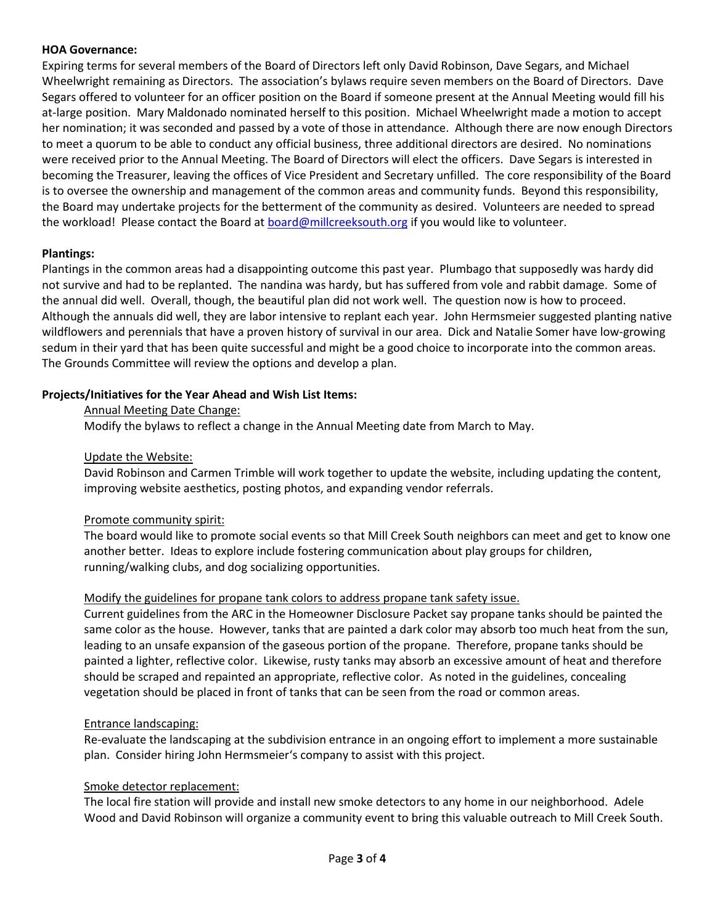## **HOA Governance:**

Expiring terms for several members of the Board of Directors left only David Robinson, Dave Segars, and Michael Wheelwright remaining as Directors. The association's bylaws require seven members on the Board of Directors. Dave Segars offered to volunteer for an officer position on the Board if someone present at the Annual Meeting would fill his at-large position. Mary Maldonado nominated herself to this position. Michael Wheelwright made a motion to accept her nomination; it was seconded and passed by a vote of those in attendance. Although there are now enough Directors to meet a quorum to be able to conduct any official business, three additional directors are desired. No nominations were received prior to the Annual Meeting. The Board of Directors will elect the officers. Dave Segars is interested in becoming the Treasurer, leaving the offices of Vice President and Secretary unfilled. The core responsibility of the Board is to oversee the ownership and management of the common areas and community funds. Beyond this responsibility, the Board may undertake projects for the betterment of the community as desired. Volunteers are needed to spread the workload! Please contact the Board at [board@millcreeksouth.org](mailto:board@millcreeksouth.org) if you would like to volunteer.

## **Plantings:**

Plantings in the common areas had a disappointing outcome this past year. Plumbago that supposedly was hardy did not survive and had to be replanted. The nandina was hardy, but has suffered from vole and rabbit damage. Some of the annual did well. Overall, though, the beautiful plan did not work well. The question now is how to proceed. Although the annuals did well, they are labor intensive to replant each year. John Hermsmeier suggested planting native wildflowers and perennials that have a proven history of survival in our area. Dick and Natalie Somer have low-growing sedum in their yard that has been quite successful and might be a good choice to incorporate into the common areas. The Grounds Committee will review the options and develop a plan.

## **Projects/Initiatives for the Year Ahead and Wish List Items:**

## Annual Meeting Date Change:

Modify the bylaws to reflect a change in the Annual Meeting date from March to May.

## Update the Website:

David Robinson and Carmen Trimble will work together to update the website, including updating the content, improving website aesthetics, posting photos, and expanding vendor referrals.

## Promote community spirit:

The board would like to promote social events so that Mill Creek South neighbors can meet and get to know one another better. Ideas to explore include fostering communication about play groups for children, running/walking clubs, and dog socializing opportunities.

## Modify the guidelines for propane tank colors to address propane tank safety issue.

Current guidelines from the ARC in the Homeowner Disclosure Packet say propane tanks should be painted the same color as the house. However, tanks that are painted a dark color may absorb too much heat from the sun, leading to an unsafe expansion of the gaseous portion of the propane. Therefore, propane tanks should be painted a lighter, reflective color. Likewise, rusty tanks may absorb an excessive amount of heat and therefore should be scraped and repainted an appropriate, reflective color. As noted in the guidelines, concealing vegetation should be placed in front of tanks that can be seen from the road or common areas.

## Entrance landscaping:

Re-evaluate the landscaping at the subdivision entrance in an ongoing effort to implement a more sustainable plan. Consider hiring John Hermsmeier's company to assist with this project.

## Smoke detector replacement:

The local fire station will provide and install new smoke detectors to any home in our neighborhood. Adele Wood and David Robinson will organize a community event to bring this valuable outreach to Mill Creek South.